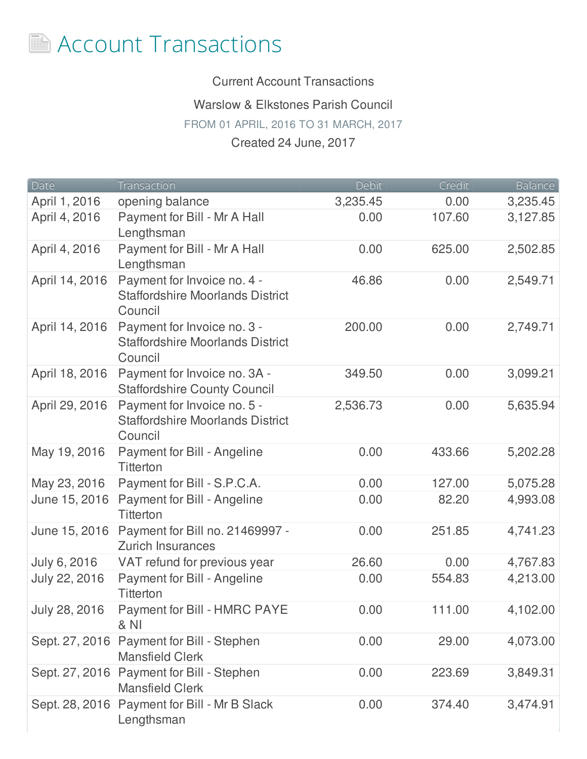

Current Account Transactions

Warslow & Elkstones Parish Council

FROM 01 APRIL, 2016 TO 31 MARCH, 2017

## Created 24 June, 2017

| Date           | Transaction                                                                       | Debit    | Credit | <b>Balance</b> |
|----------------|-----------------------------------------------------------------------------------|----------|--------|----------------|
| April 1, 2016  | opening balance                                                                   | 3,235.45 | 0.00   | 3,235.45       |
| April 4, 2016  | Payment for Bill - Mr A Hall<br>Lengthsman                                        | 0.00     | 107.60 | 3,127.85       |
| April 4, 2016  | Payment for Bill - Mr A Hall<br>Lengthsman                                        | 0.00     | 625.00 | 2,502.85       |
| April 14, 2016 | Payment for Invoice no. 4 -<br><b>Staffordshire Moorlands District</b><br>Council | 46.86    | 0.00   | 2,549.71       |
| April 14, 2016 | Payment for Invoice no. 3 -<br><b>Staffordshire Moorlands District</b><br>Council | 200.00   | 0.00   | 2,749.71       |
| April 18, 2016 | Payment for Invoice no. 3A -<br><b>Staffordshire County Council</b>               | 349.50   | 0.00   | 3,099.21       |
| April 29, 2016 | Payment for Invoice no. 5 -<br><b>Staffordshire Moorlands District</b><br>Council | 2,536.73 | 0.00   | 5,635.94       |
| May 19, 2016   | Payment for Bill - Angeline<br><b>Titterton</b>                                   | 0.00     | 433.66 | 5,202.28       |
| May 23, 2016   | Payment for Bill - S.P.C.A.                                                       | 0.00     | 127.00 | 5,075.28       |
| June 15, 2016  | Payment for Bill - Angeline<br><b>Titterton</b>                                   | 0.00     | 82.20  | 4,993.08       |
| June 15, 2016  | Payment for Bill no. 21469997 -<br><b>Zurich Insurances</b>                       | 0.00     | 251.85 | 4,741.23       |
| July 6, 2016   | VAT refund for previous year                                                      | 26.60    | 0.00   | 4,767.83       |
| July 22, 2016  | Payment for Bill - Angeline<br><b>Titterton</b>                                   | 0.00     | 554.83 | 4,213.00       |
| July 28, 2016  | Payment for Bill - HMRC PAYE<br><b>&amp; NI</b>                                   | 0.00     | 111.00 | 4,102.00       |
| Sept. 27, 2016 | Payment for Bill - Stephen<br><b>Mansfield Clerk</b>                              | 0.00     | 29.00  | 4,073.00       |
|                | Sept. 27, 2016 Payment for Bill - Stephen<br><b>Mansfield Clerk</b>               | 0.00     | 223.69 | 3,849.31       |
|                | Sept. 28, 2016 Payment for Bill - Mr B Slack<br>Lengthsman                        | 0.00     | 374.40 | 3,474.91       |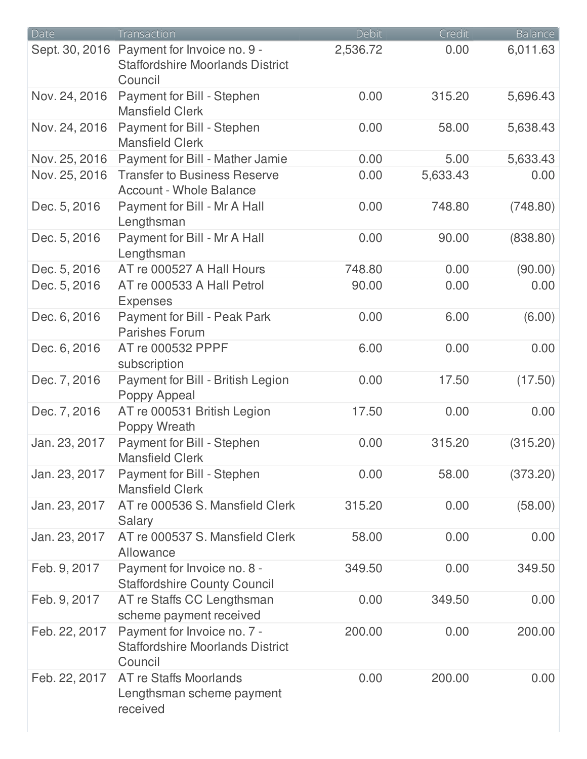| Date          | Transaction                                                                                      | Debit    | Credit   | <b>Balance</b> |
|---------------|--------------------------------------------------------------------------------------------------|----------|----------|----------------|
|               | Sept. 30, 2016 Payment for Invoice no. 9 -<br><b>Staffordshire Moorlands District</b><br>Council | 2,536.72 | 0.00     | 6,011.63       |
| Nov. 24, 2016 | Payment for Bill - Stephen<br><b>Mansfield Clerk</b>                                             | 0.00     | 315.20   | 5,696.43       |
| Nov. 24, 2016 | Payment for Bill - Stephen<br><b>Mansfield Clerk</b>                                             | 0.00     | 58.00    | 5,638.43       |
| Nov. 25, 2016 | Payment for Bill - Mather Jamie                                                                  | 0.00     | 5.00     | 5,633.43       |
| Nov. 25, 2016 | <b>Transfer to Business Reserve</b><br><b>Account - Whole Balance</b>                            | 0.00     | 5,633.43 | 0.00           |
| Dec. 5, 2016  | Payment for Bill - Mr A Hall<br>Lengthsman                                                       | 0.00     | 748.80   | (748.80)       |
| Dec. 5, 2016  | Payment for Bill - Mr A Hall<br>Lengthsman                                                       | 0.00     | 90.00    | (838.80)       |
| Dec. 5, 2016  | AT re 000527 A Hall Hours                                                                        | 748.80   | 0.00     | (90.00)        |
| Dec. 5, 2016  | AT re 000533 A Hall Petrol<br><b>Expenses</b>                                                    | 90.00    | 0.00     | 0.00           |
| Dec. 6, 2016  | Payment for Bill - Peak Park<br><b>Parishes Forum</b>                                            | 0.00     | 6.00     | (6.00)         |
| Dec. 6, 2016  | AT re 000532 PPPF<br>subscription                                                                | 6.00     | 0.00     | 0.00           |
| Dec. 7, 2016  | Payment for Bill - British Legion<br>Poppy Appeal                                                | 0.00     | 17.50    | (17.50)        |
| Dec. 7, 2016  | AT re 000531 British Legion<br>Poppy Wreath                                                      | 17.50    | 0.00     | 0.00           |
| Jan. 23, 2017 | Payment for Bill - Stephen<br><b>Mansfield Clerk</b>                                             | 0.00     | 315.20   | (315.20)       |
| Jan. 23, 2017 | Payment for Bill - Stephen<br><b>Mansfield Clerk</b>                                             | 0.00     | 58.00    | (373.20)       |
| Jan. 23, 2017 | AT re 000536 S. Mansfield Clerk<br>Salary                                                        | 315.20   | 0.00     | (58.00)        |
| Jan. 23, 2017 | AT re 000537 S. Mansfield Clerk<br>Allowance                                                     | 58.00    | 0.00     | 0.00           |
| Feb. 9, 2017  | Payment for Invoice no. 8 -<br><b>Staffordshire County Council</b>                               | 349.50   | 0.00     | 349.50         |
| Feb. 9, 2017  | AT re Staffs CC Lengthsman<br>scheme payment received                                            | 0.00     | 349.50   | 0.00           |
| Feb. 22, 2017 | Payment for Invoice no. 7 -<br><b>Staffordshire Moorlands District</b><br>Council                | 200.00   | 0.00     | 200.00         |
| Feb. 22, 2017 | AT re Staffs Moorlands<br>Lengthsman scheme payment<br>received                                  | 0.00     | 200.00   | 0.00           |